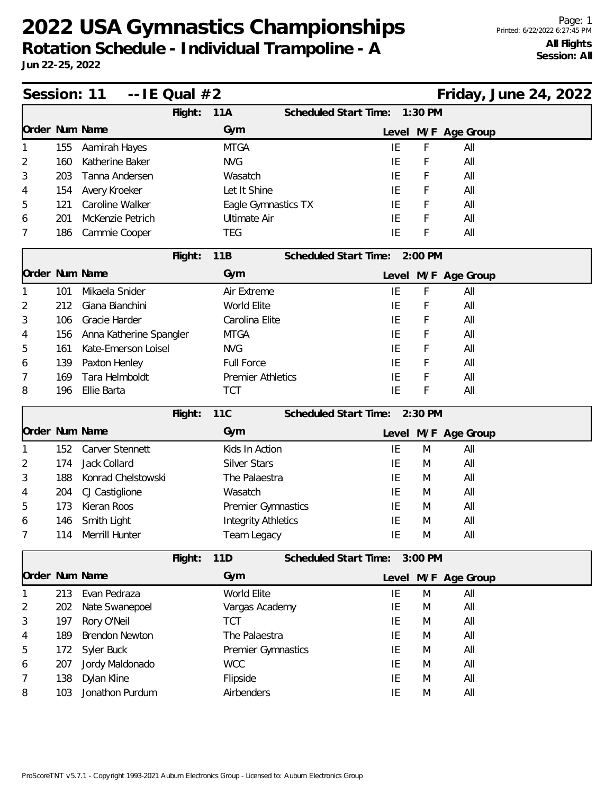## **2022 USA Gymnastics Championships Rotation Schedule - Individual Trampoline - A**

**Jun 22-25, 2022**

| Session: 11<br>$-$ IE Qual $#2$ |     |                         |         |                            |                               |    |         |                     | Friday, June 24, 2022 |  |
|---------------------------------|-----|-------------------------|---------|----------------------------|-------------------------------|----|---------|---------------------|-----------------------|--|
|                                 |     |                         | Flight: | 11A                        | Scheduled Start Time:         |    | 1:30 PM |                     |                       |  |
| Order Num Name                  |     |                         |         | Gym                        |                               |    |         | Level M/F Age Group |                       |  |
|                                 | 155 | Aamirah Hayes           |         | <b>MTGA</b>                |                               | IE | F       | All                 |                       |  |
| 2                               | 160 | Katherine Baker         |         | <b>NVG</b>                 |                               | IE | F       | All                 |                       |  |
| 3                               | 203 | Tanna Andersen          |         | Wasatch                    |                               | IE | F       | All                 |                       |  |
| 4                               | 154 | Avery Kroeker           |         | Let It Shine               |                               | IE | F       | All                 |                       |  |
| 5                               | 121 | Caroline Walker         |         | Eagle Gymnastics TX        |                               | IE | F       | All                 |                       |  |
| 6                               | 201 | McKenzie Petrich        |         | <b>Ultimate Air</b>        |                               | IE | F       | All                 |                       |  |
| 7                               | 186 | Cammie Cooper           |         | <b>TEG</b>                 |                               | IE | F       | All                 |                       |  |
|                                 |     |                         | Flight: | 11B                        | Scheduled Start Time: 2:00 PM |    |         |                     |                       |  |
| Order Num Name                  |     |                         |         | Gym                        |                               |    |         | Level M/F Age Group |                       |  |
|                                 | 101 | Mikaela Snider          |         | Air Extreme                |                               | IE | F       | All                 |                       |  |
| 2                               | 212 | Giana Bianchini         |         | World Elite                |                               | IE | F       | All                 |                       |  |
| 3                               | 106 | Gracie Harder           |         | Carolina Elite             |                               | IE | F       | All                 |                       |  |
| 4                               | 156 | Anna Katherine Spangler |         | <b>MTGA</b>                |                               | ΙE | F       | All                 |                       |  |
| 5                               | 161 | Kate-Emerson Loisel     |         | <b>NVG</b>                 |                               | IE | F       | All                 |                       |  |
| 6                               | 139 | Paxton Henley           |         | <b>Full Force</b>          |                               | IE | F       | All                 |                       |  |
| 7                               | 169 | Tara Helmboldt          |         | <b>Premier Athletics</b>   |                               | IE | F       | All                 |                       |  |
| 8                               | 196 | Ellie Barta             |         | <b>TCT</b>                 |                               | IE | F       | All                 |                       |  |
|                                 |     |                         | Flight: | <b>11C</b>                 | Scheduled Start Time: 2:30 PM |    |         |                     |                       |  |
| Order Num Name                  |     |                         |         | Gym                        |                               |    |         | Level M/F Age Group |                       |  |
|                                 | 152 | Carver Stennett         |         | Kids In Action             |                               | IE | M       | All                 |                       |  |
| 2                               | 174 | Jack Collard            |         | <b>Silver Stars</b>        |                               | IE | M       | All                 |                       |  |
| 3                               | 188 | Konrad Chelstowski      |         | The Palaestra              |                               | IE | M       | All                 |                       |  |
| 4                               | 204 | CJ Castiglione          |         | Wasatch                    |                               | IE | M       | All                 |                       |  |
| 5                               | 173 | Kieran Roos             |         | Premier Gymnastics         |                               | ΙE | M       | All                 |                       |  |
| 6                               | 146 | Smith Light             |         | <b>Integrity Athletics</b> |                               | IE | M       | All                 |                       |  |
|                                 | 114 | Merrill Hunter          |         | Team Legacy                |                               | IE | M       | All                 |                       |  |
|                                 |     |                         | Flight: | 11D                        | <b>Scheduled Start Time:</b>  |    | 3:00 PM |                     |                       |  |
| Order Num Name                  |     |                         |         | Gym                        |                               |    |         | Level M/F Age Group |                       |  |
|                                 | 213 | Evan Pedraza            |         | World Elite                |                               | IE | M       | All                 |                       |  |
| 2                               | 202 | Nate Swanepoel          |         | Vargas Academy             |                               | IE | M       | All                 |                       |  |
| 3                               | 197 | Rory O'Neil             |         | <b>TCT</b>                 |                               | IE | M       | All                 |                       |  |
| 4                               | 189 | <b>Brendon Newton</b>   |         | The Palaestra              |                               | IE | M       | All                 |                       |  |
| 5                               | 172 | Syler Buck              |         | Premier Gymnastics         |                               | IE | M       | All                 |                       |  |
| 6                               | 207 | Jordy Maldonado         |         | <b>WCC</b>                 |                               | IE | M       | All                 |                       |  |
| 7                               | 138 | Dylan Kline             |         | Flipside                   |                               | IE | M       | All                 |                       |  |
| 8                               | 103 | Jonathon Purdum         |         | Airbenders                 |                               | ΙE | M       | All                 |                       |  |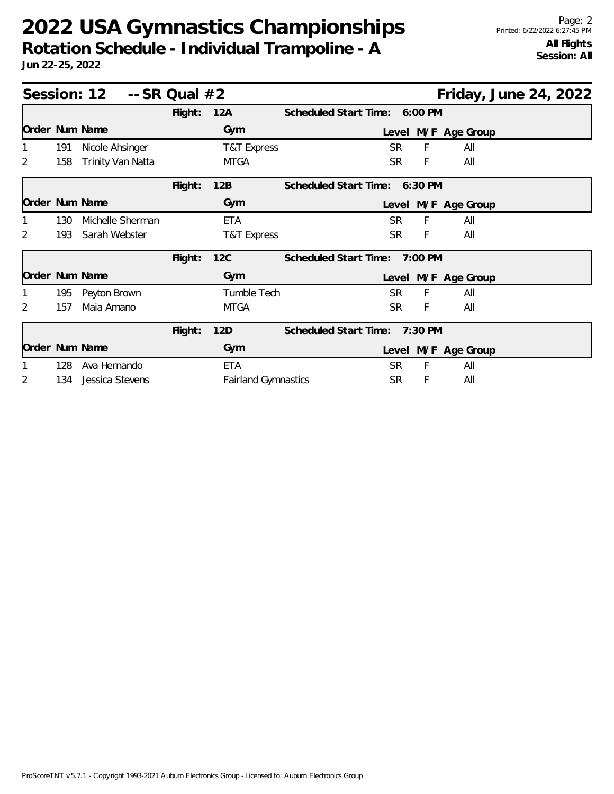## **2022 USA Gymnastics Championships Rotation Schedule - Individual Trampoline - A**

**Jun 22-25, 2022**

| Session: $12 - S$ R Qual $#2$ |     |                   |         |                            | Friday, June 24, 2022            |
|-------------------------------|-----|-------------------|---------|----------------------------|----------------------------------|
|                               |     |                   | Flight: | 12A                        | Scheduled Start Time: 6:00 PM    |
| Order Num Name                |     |                   |         | Gym                        | Level M/F Age Group              |
|                               | 191 | Nicole Ahsinger   |         | T&T Express                | F<br><b>SR</b><br>All            |
| 2                             | 158 | Trinity Van Natta |         | <b>MTGA</b>                | SR.<br>All<br>F                  |
|                               |     |                   | Flight: | 12B                        | Scheduled Start Time: 6:30 PM    |
| Order Num Name                |     |                   |         | Gym                        | Level M/F Age Group              |
|                               | 130 | Michelle Sherman  |         | <b>ETA</b>                 | F<br>SR.<br>All                  |
| 2                             | 193 | Sarah Webster     |         | T&T Express                | <b>SR</b><br>F<br>All            |
|                               |     |                   | Flight: | 12C                        | Scheduled Start Time: 7:00 PM    |
| Order Num Name                |     |                   |         | Gym                        | Level M/F Age Group              |
|                               | 195 | Peyton Brown      |         | Tumble Tech                | F<br><b>SR</b><br>All            |
| 2                             | 157 | Maia Amano        |         | <b>MTGA</b>                | <b>SR</b><br>All<br>F            |
|                               |     |                   | Flight: | 12D                        | Scheduled Start Time:<br>7:30 PM |
| Order Num Name                |     |                   |         | Gym                        | Level M/F Age Group              |
|                               | 128 | Ava Hernando      |         | <b>ETA</b>                 | F<br>All<br>SR                   |
| 2                             | 134 | Jessica Stevens   |         | <b>Fairland Gymnastics</b> | <b>SR</b><br>All<br>F            |